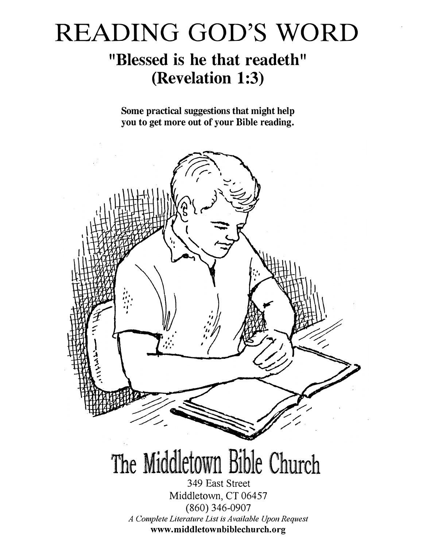# READING GOD'S WORD

## "Blessed is he that readeth" (Revelation 1:3)

Some practical suggestions that might help you to get more out of your Bible reading.

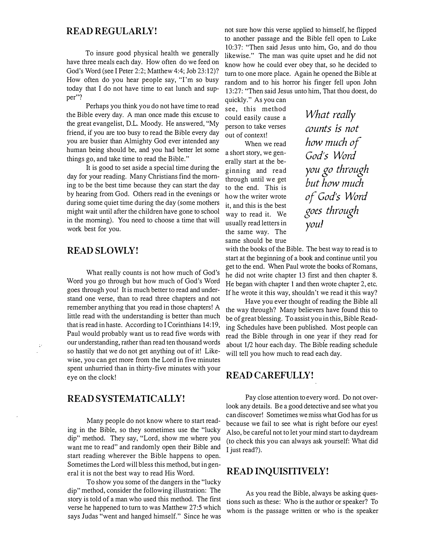#### READ REGULARLY!

To insure good physical health we generally have three meals each day. How often do we feed on God's Word (see I Peter 2:2; Matthew 4:4; Job 23:12)? How often do you hear people say, "I'm so busy today that I do not have time to eat lunch and supper"?

Perhaps you think you do not have time to read the Bible every day. A man once made this excuse to the great evangelist, D.L. Moody. He answered, "My friend, if you are too busy to read the Bible every day you are busier than Almighty God ever intended any human being should be, and you had better let some things go, and take time to read the Bible."

It is good to set aside a special time during the day for your reading. Many Christians find the moming to be the best time because they can start the day by hearing from God. Others read in the evenings or during some quiet time during the day (some mothers might wait until after the children have gone to school in the morning). You need to choose a time that will work best for you.

#### READ SLOWLY!

 $\ddot{\phantom{a}}$ 

What really counts is not how much of God's Word you go through but how much of God's Word goes through you! It is much better to read and understand one verse, than to read three chapters and not remember anything that you read in those chapters! A little read with the understanding is better than much that is read in haste. According to I Corinthians 14: 19, Paul would probably want us to read five words with our understanding, rather than read ten thousand words so hastily that we do not get anything out of it! Likewise, you can get more from the Lord in five minutes spent unhurried than in thirty-five minutes with your eye on the clock!

#### READ SYSTEMATICALLY!

Many people do not know where to start reading in the Bible, so they sometimes use the "lucky dip" method. They say, "Lord, show me where you want me to read" and randomly open their Bible and start reading wherever the Bible happens to open. Sometimes the Lord will bless this method, but in general it is not the best way to read His Word.

To show you some of the dangers in the "lucky dip" method, consider the following illustration: The story is told of a man who used this method. The first verse he happened to tum to was Matthew 27:5 which says Judas "went and hanged himself." Since he was

not sure how this verse applied to himself, he flipped to another passage and the Bible fell open to Luke 10:37: "Then said Jesus unto him, Go, and do thou likewise." The man was quite upset and he did not know how he could ever obey that, so he decided to tum to one more place. Again he opened the Bible at random and to his horror his finger fell upon John 13:27: "Then said Jesus unto him, That thou doest, do

quickly." As you can see, this method could easily cause a person to take verses out of context!

When we read a short story, we generally start at the beginning and read through until we get to the end. This is how the writer wrote it, and this is the best way to read it. We usually read letters in the same way. The same should be true

What really counts is not how much of God's Word you go through but how much of God's Word goes through you!

with the books of the Bible. The best way to read is to start at the beginning of a book and continue until you get to the end. When Paul wrote the books of Romans, he did not write chapter 13 first and then chapter 8. He began with chapter 1 and then wrote chapter 2, etc. If he wrote it this way, shouldn't we read it this way?

Have you ever thought of reading the Bible all the way through? Many believers have found this to be of great blessing. To assist you in this, Bible Reading Schedules have been published. Most people can read the Bible through in one year if they read for about 1/2 hour each day. The Bible reading schedule will tell you how much to read each day.

#### READ CAREFULLY!

Pay close attention to every word. Do not overlook any details. Be a good detective and see what you can discover! Sometimes we miss what God has for us because we fail to see what is right before our eyes! Also, be careful not to let your mind start to daydream (to check this you can always ask yourself: What did I just read?).

#### READ INQUISITIVELY!

As you read the Bible, always be asking questions such as these: Who is the author or speaker? To whom is the passage written or who is the speaker